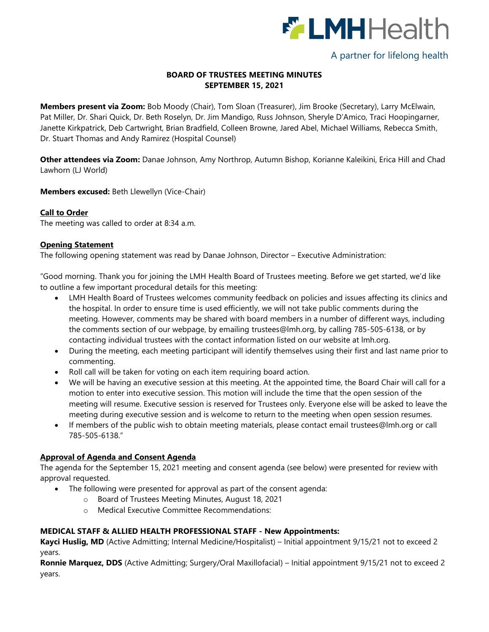

# A partner for lifelong health

# **BOARD OF TRUSTEES MEETING MINUTES SEPTEMBER 15, 2021**

**Members present via Zoom:** Bob Moody (Chair), Tom Sloan (Treasurer), Jim Brooke (Secretary), Larry McElwain, Pat Miller, Dr. Shari Quick, Dr. Beth Roselyn, Dr. Jim Mandigo, Russ Johnson, Sheryle D'Amico, Traci Hoopingarner, Janette Kirkpatrick, Deb Cartwright, Brian Bradfield, Colleen Browne, Jared Abel, Michael Williams, Rebecca Smith, Dr. Stuart Thomas and Andy Ramirez (Hospital Counsel)

**Other attendees via Zoom:** Danae Johnson, Amy Northrop, Autumn Bishop, Korianne Kaleikini, Erica Hill and Chad Lawhorn (LJ World)

**Members excused:** Beth Llewellyn (Vice-Chair)

### **Call to Order**

The meeting was called to order at 8:34 a.m.

### **Opening Statement**

The following opening statement was read by Danae Johnson, Director – Executive Administration:

"Good morning. Thank you for joining the LMH Health Board of Trustees meeting. Before we get started, we'd like to outline a few important procedural details for this meeting:

- LMH Health Board of Trustees welcomes community feedback on policies and issues affecting its clinics and the hospital. In order to ensure time is used efficiently, we will not take public comments during the meeting. However, comments may be shared with board members in a number of different ways, including the comments section of our webpage, by emailing [trustees@lmh.org,](mailto:trustees@lmh.org) by calling 785-505-6138, or by contacting individual trustees with the contact information listed on our website at lmh.org.
- During the meeting, each meeting participant will identify themselves using their first and last name prior to commenting.
- Roll call will be taken for voting on each item requiring board action.
- We will be having an executive session at this meeting. At the appointed time, the Board Chair will call for a motion to enter into executive session. This motion will include the time that the open session of the meeting will resume. Executive session is reserved for Trustees only. Everyone else will be asked to leave the meeting during executive session and is welcome to return to the meeting when open session resumes.
- If members of the public wish to obtain meeting materials, please contact email [trustees@lmh.org](mailto:trustees@lmh.org) or call 785-505-6138."

# **Approval of Agenda and Consent Agenda**

The agenda for the September 15, 2021 meeting and consent agenda (see below) were presented for review with approval requested.

- The following were presented for approval as part of the consent agenda:
	- o Board of Trustees Meeting Minutes, August 18, 2021
	- o Medical Executive Committee Recommendations:

# **MEDICAL STAFF & ALLIED HEALTH PROFESSIONAL STAFF - New Appointments:**

**Kayci Huslig, MD** (Active Admitting; Internal Medicine/Hospitalist) – Initial appointment 9/15/21 not to exceed 2 years.

**Ronnie Marquez, DDS** (Active Admitting; Surgery/Oral Maxillofacial) – Initial appointment 9/15/21 not to exceed 2 years.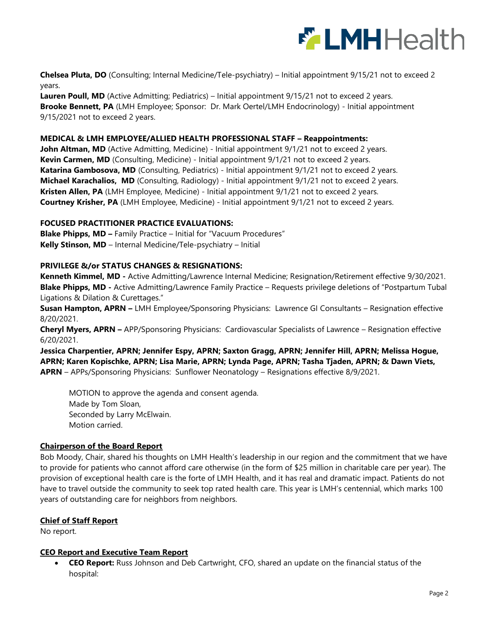

**Chelsea Pluta, DO** (Consulting; Internal Medicine/Tele-psychiatry) – Initial appointment 9/15/21 not to exceed 2 years.

**Lauren Poull, MD** (Active Admitting; Pediatrics) – Initial appointment 9/15/21 not to exceed 2 years. **Brooke Bennett, PA** (LMH Employee; Sponsor: Dr. Mark Oertel/LMH Endocrinology) - Initial appointment 9/15/2021 not to exceed 2 years.

### **MEDICAL & LMH EMPLOYEE/ALLIED HEALTH PROFESSIONAL STAFF – Reappointments:**

John Altman, MD (Active Admitting, Medicine) - Initial appointment 9/1/21 not to exceed 2 years. **Kevin Carmen, MD** (Consulting, Medicine) - Initial appointment 9/1/21 not to exceed 2 years. **Katarina Gambosova, MD** (Consulting, Pediatrics) - Initial appointment 9/1/21 not to exceed 2 years. **Michael Karachalios, MD** (Consulting, Radiology) - Initial appointment 9/1/21 not to exceed 2 years. **Kristen Allen, PA** (LMH Employee, Medicine) - Initial appointment 9/1/21 not to exceed 2 years. **Courtney Krisher, PA** (LMH Employee, Medicine) - Initial appointment 9/1/21 not to exceed 2 years.

#### **FOCUSED PRACTITIONER PRACTICE EVALUATIONS:**

**Blake Phipps, MD –** Family Practice – Initial for "Vacuum Procedures" **Kelly Stinson, MD** – Internal Medicine/Tele-psychiatry – Initial

### **PRIVILEGE &/or STATUS CHANGES & RESIGNATIONS:**

**Kenneth Kimmel, MD -** Active Admitting/Lawrence Internal Medicine; Resignation/Retirement effective 9/30/2021. **Blake Phipps, MD -** Active Admitting/Lawrence Family Practice – Requests privilege deletions of "Postpartum Tubal Ligations & Dilation & Curettages."

**Susan Hampton, APRN –** LMH Employee/Sponsoring Physicians: Lawrence GI Consultants – Resignation effective 8/20/2021.

**Cheryl Myers, APRN –** APP/Sponsoring Physicians: Cardiovascular Specialists of Lawrence – Resignation effective 6/20/2021.

**Jessica Charpentier, APRN; Jennifer Espy, APRN; Saxton Gragg, APRN; Jennifer Hill, APRN; Melissa Hogue, APRN; Karen Kopischke, APRN; Lisa Marie, APRN; Lynda Page, APRN; Tasha Tjaden, APRN; & Dawn Viets, APRN** – APPs/Sponsoring Physicians: Sunflower Neonatology – Resignations effective 8/9/2021.

MOTION to approve the agenda and consent agenda. Made by Tom Sloan, Seconded by Larry McElwain. Motion carried.

# **Chairperson of the Board Report**

Bob Moody, Chair, shared his thoughts on LMH Health's leadership in our region and the commitment that we have to provide for patients who cannot afford care otherwise (in the form of \$25 million in charitable care per year). The provision of exceptional health care is the forte of LMH Health, and it has real and dramatic impact. Patients do not have to travel outside the community to seek top rated health care. This year is LMH's centennial, which marks 100 years of outstanding care for neighbors from neighbors.

# **Chief of Staff Report**

No report.

#### **CEO Report and Executive Team Report**

 **CEO Report:** Russ Johnson and Deb Cartwright, CFO, shared an update on the financial status of the hospital: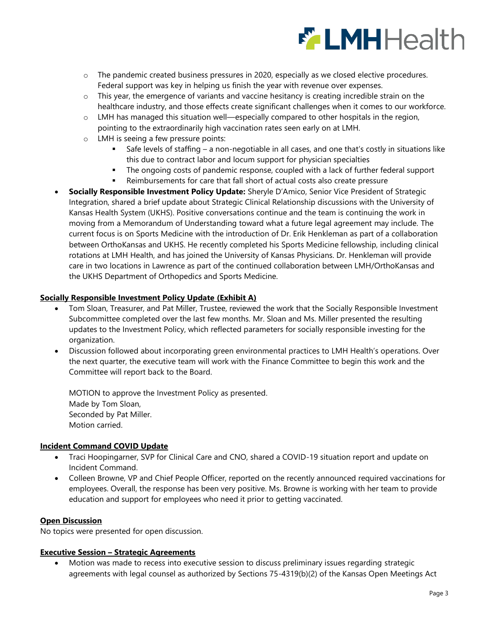

- o The pandemic created business pressures in 2020, especially as we closed elective procedures. Federal support was key in helping us finish the year with revenue over expenses.
- $\circ$  This year, the emergence of variants and vaccine hesitancy is creating incredible strain on the healthcare industry, and those effects create significant challenges when it comes to our workforce.
- $\circ$  LMH has managed this situation well—especially compared to other hospitals in the region, pointing to the extraordinarily high vaccination rates seen early on at LMH.
- o LMH is seeing a few pressure points:
	- Safe levels of staffing a non-negotiable in all cases, and one that's costly in situations like this due to contract labor and locum support for physician specialties
	- The ongoing costs of pandemic response, coupled with a lack of further federal support
	- Reimbursements for care that fall short of actual costs also create pressure
- **Socially Responsible Investment Policy Update:** Sheryle D'Amico, Senior Vice President of Strategic Integration, shared a brief update about Strategic Clinical Relationship discussions with the University of Kansas Health System (UKHS). Positive conversations continue and the team is continuing the work in moving from a Memorandum of Understanding toward what a future legal agreement may include. The current focus is on Sports Medicine with the introduction of Dr. Erik Henkleman as part of a collaboration between OrthoKansas and UKHS. He recently completed his Sports Medicine fellowship, including clinical rotations at LMH Health, and has joined the University of Kansas Physicians. Dr. Henkleman will provide care in two locations in Lawrence as part of the continued collaboration between LMH/OrthoKansas and the UKHS Department of Orthopedics and Sports Medicine.

### **Socially Responsible Investment Policy Update (Exhibit A)**

- Tom Sloan, Treasurer, and Pat Miller, Trustee, reviewed the work that the Socially Responsible Investment Subcommittee completed over the last few months. Mr. Sloan and Ms. Miller presented the resulting updates to the Investment Policy, which reflected parameters for socially responsible investing for the organization.
- Discussion followed about incorporating green environmental practices to LMH Health's operations. Over the next quarter, the executive team will work with the Finance Committee to begin this work and the Committee will report back to the Board.

MOTION to approve the Investment Policy as presented. Made by Tom Sloan, Seconded by Pat Miller. Motion carried.

# **Incident Command COVID Update**

- Traci Hoopingarner, SVP for Clinical Care and CNO, shared a COVID-19 situation report and update on Incident Command.
- Colleen Browne, VP and Chief People Officer, reported on the recently announced required vaccinations for employees. Overall, the response has been very positive. Ms. Browne is working with her team to provide education and support for employees who need it prior to getting vaccinated.

### **Open Discussion**

No topics were presented for open discussion.

#### **Executive Session – Strategic Agreements**

 Motion was made to recess into executive session to discuss preliminary issues regarding strategic agreements with legal counsel as authorized by Sections 75-4319(b)(2) of the Kansas Open Meetings Act